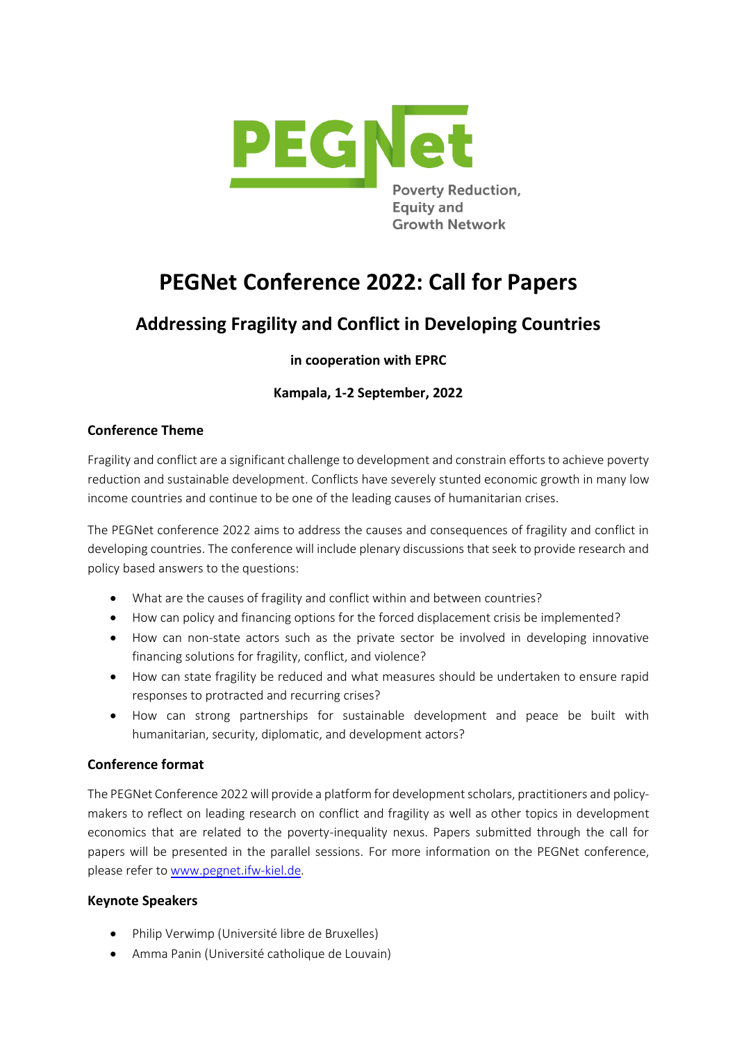

# **PEGNet Conference 2022: Call for Papers**

# **Addressing Fragility and Conflict in Developing Countries**

# **in cooperation with EPRC**

# **Kampala, 1-2 September, 2022**

### **Conference Theme**

Fragility and conflict are a significant challenge to development and constrain efforts to achieve poverty reduction and sustainable development. Conflicts have severely stunted economic growth in many low income countries and continue to be one of the leading causes of humanitarian crises.

The PEGNet conference 2022 aims to address the causes and consequences of fragility and conflict in developing countries. The conference will include plenary discussions that seek to provide research and policy based answers to the questions:

- What are the causes of fragility and conflict within and between countries?
- How can policy and financing options for the forced displacement crisis be implemented?
- How can non-state actors such as the private sector be involved in developing innovative financing solutions for fragility, conflict, and violence?
- How can state fragility be reduced and what measures should be undertaken to ensure rapid responses to protracted and recurring crises?
- How can strong partnerships for sustainable development and peace be built with humanitarian, security, diplomatic, and development actors?

## **Conference format**

The PEGNet Conference 2022 will provide a platform for development scholars, practitioners and policymakers to reflect on leading research on conflict and fragility as well as other topics in development economics that are related to the poverty-inequality nexus. Papers submitted through the call for papers will be presented in the parallel sessions. For more information on the PEGNet conference, please refer to [www.pegnet.ifw-kiel.de.](http://www.pegnet.ifw-kiel.de/)

#### **Keynote Speakers**

- Philip Verwimp (Université libre de Bruxelles)
- Amma Panin (Université catholique de Louvain)